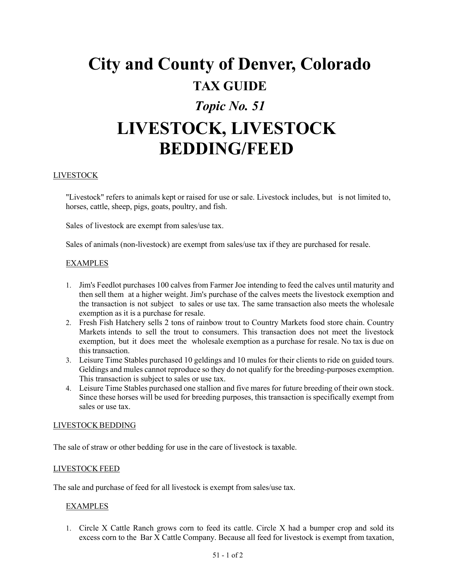# **City and County of Denver, Colorado TAX GUIDE** *Topic No. 51* **LIVESTOCK, LIVESTOCK BEDDING/FEED**

## LIVESTOCK

"Livestock" refers to animals kept or raised for use or sale. Livestock includes, but is not limited to, horses, cattle, sheep, pigs, goats, poultry, and fish.

Sales of livestock are exempt from sales/use tax.

Sales of animals (non-livestock) are exempt from sales/use tax if they are purchased for resale.

### EXAMPLES

- 1. Jim's Feedlot purchases 100 calves from Farmer Joe intending to feed the calves until maturity and then sell them at a higher weight. Jim's purchase of the calves meets the livestock exemption and the transaction is not subject to sales or use tax. The same transaction also meets the wholesale exemption as it is a purchase for resale.
- 2. Fresh Fish Hatchery sells 2 tons of rainbow trout to Country Markets food store chain. Country Markets intends to sell the trout to consumers. This transaction does not meet the livestock exemption, but it does meet the wholesale exemption as a purchase for resale. No tax is due on this transaction.
- 3. Leisure Time Stables purchased 10 geldings and 10 mules for their clients to ride on guided tours. Geldings and mules cannot reproduce so they do not qualify for the breeding-purposes exemption. This transaction is subject to sales or use tax.
- 4. Leisure Time Stables purchased one stallion and five mares for future breeding of their own stock. Since these horses will be used for breeding purposes, this transaction is specifically exempt from sales or use tax.

#### LIVESTOCK BEDDING

The sale of straw or other bedding for use in the care of livestock is taxable.

#### LIVESTOCK FEED

The sale and purchase of feed for all livestock is exempt from sales/use tax.

## **EXAMPLES**

1. Circle X Cattle Ranch grows corn to feed its cattle. Circle X had a bumper crop and sold its excess corn to the Bar X Cattle Company. Because all feed for livestock is exempt from taxation,